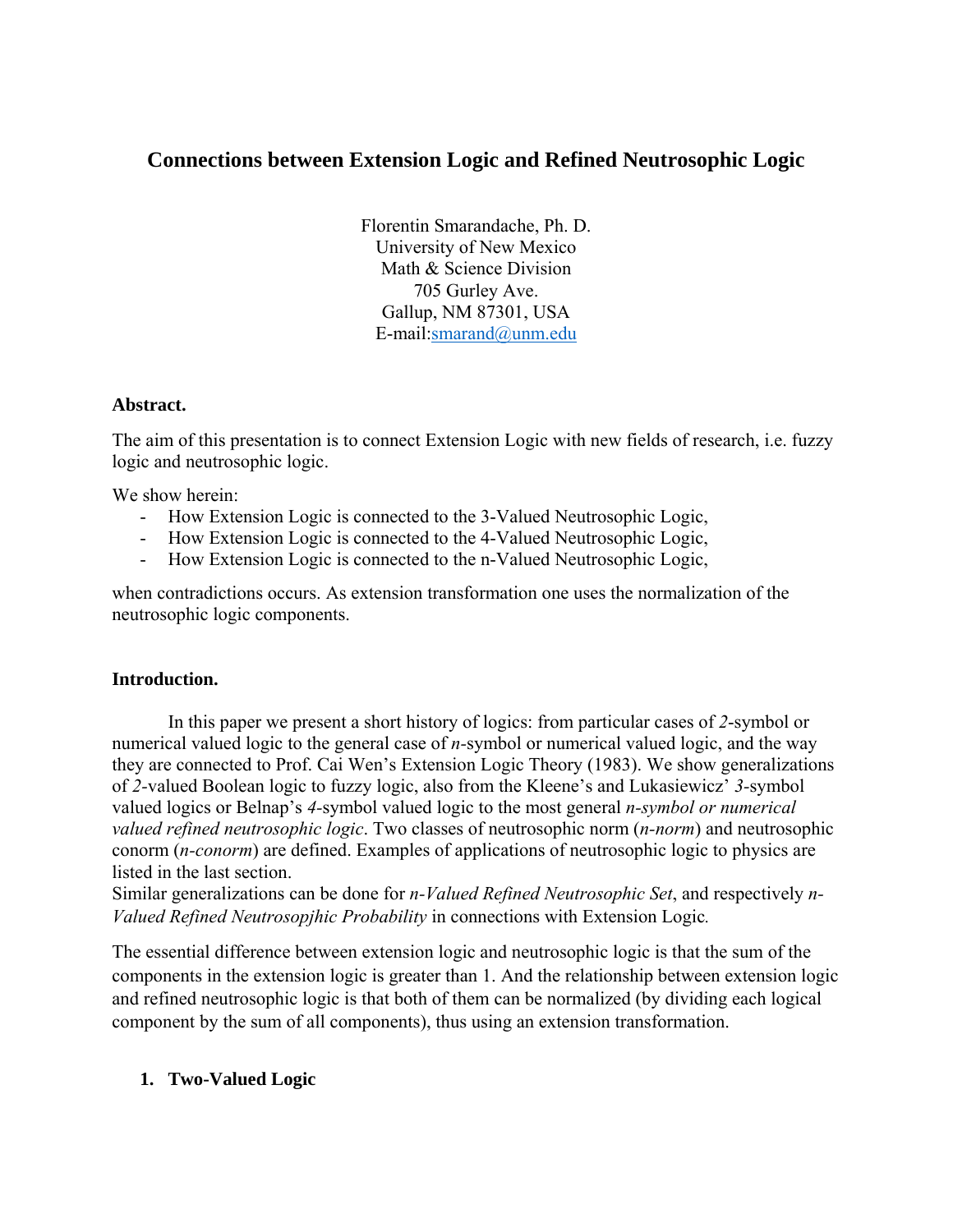# **Connections between Extension Logic and Refined Neutrosophic Logic**

Florentin Smarandache, Ph. D. University of New Mexico Math & Science Division 705 Gurley Ave. Gallup, NM 87301, USA E-mail:smarand@unm.edu

#### **Abstract.**

The aim of this presentation is to connect Extension Logic with new fields of research, i.e. fuzzy logic and neutrosophic logic.

We show herein:

- How Extension Logic is connected to the 3-Valued Neutrosophic Logic,
- How Extension Logic is connected to the 4-Valued Neutrosophic Logic,
- How Extension Logic is connected to the n-Valued Neutrosophic Logic,

when contradictions occurs. As extension transformation one uses the normalization of the neutrosophic logic components.

## **Introduction.**

In this paper we present a short history of logics: from particular cases of *2*-symbol or numerical valued logic to the general case of *n-*symbol or numerical valued logic, and the way they are connected to Prof. Cai Wen's Extension Logic Theory (1983). We show generalizations of *2-*valued Boolean logic to fuzzy logic, also from the Kleene's and Lukasiewicz' *3-*symbol valued logics or Belnap's *4-*symbol valued logic to the most general *n-symbol or numerical valued refined neutrosophic logic*. Two classes of neutrosophic norm (*n-norm*) and neutrosophic conorm (*n-conorm*) are defined. Examples of applications of neutrosophic logic to physics are listed in the last section.

Similar generalizations can be done for *n-Valued Refined Neutrosophic Set*, and respectively *n-Valued Refined Neutrosopjhic Probability* in connections with Extension Logic*.*

The essential difference between extension logic and neutrosophic logic is that the sum of the components in the extension logic is greater than 1. And the relationship between extension logic and refined neutrosophic logic is that both of them can be normalized (by dividing each logical component by the sum of all components), thus using an extension transformation.

## **1. Two-Valued Logic**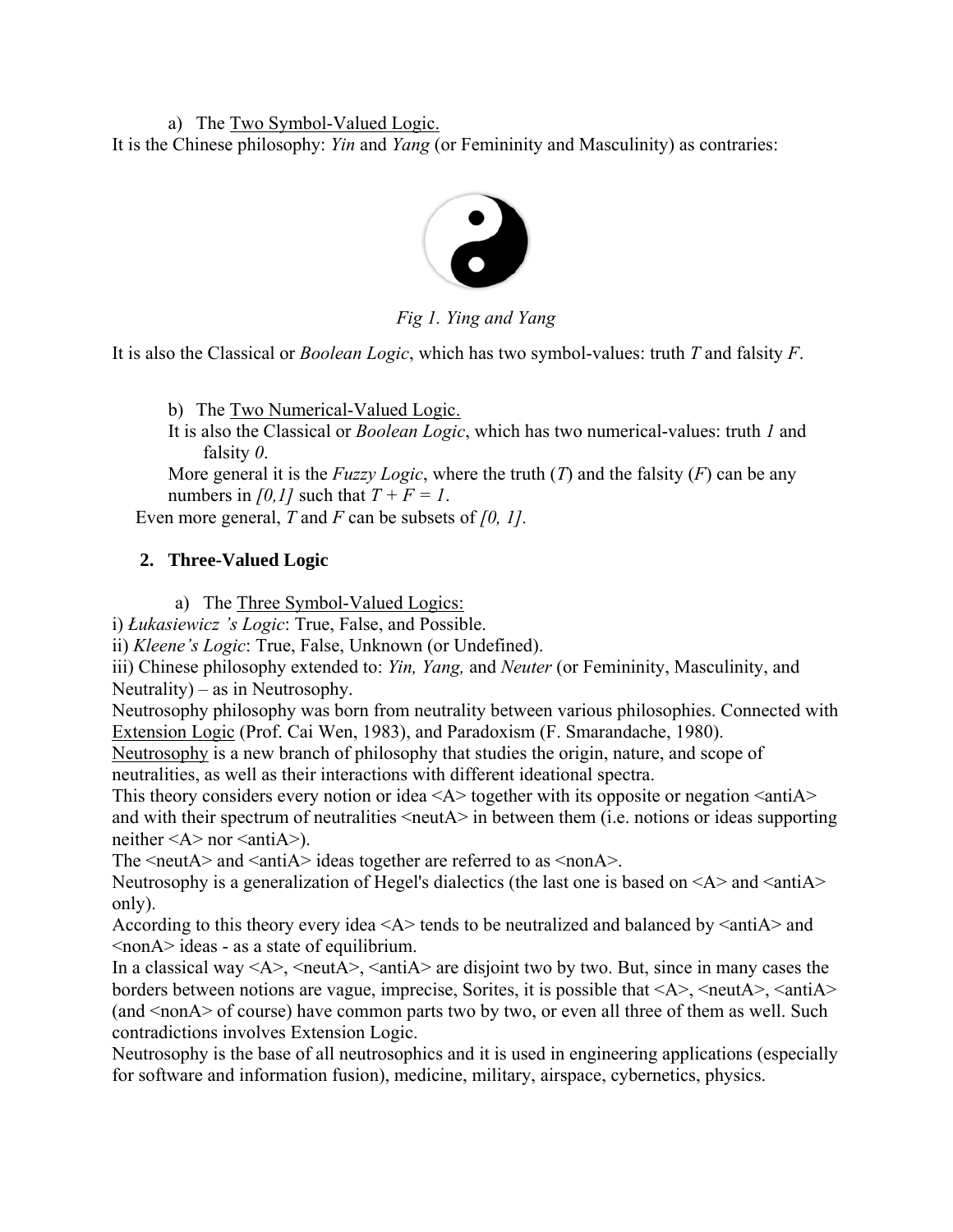a) The Two Symbol-Valued Logic.

It is the Chinese philosophy: *Yin* and *Yang* (or Femininity and Masculinity) as contraries:



*Fig 1. Ying and Yang* 

It is also the Classical or *Boolean Logic*, which has two symbol-values: truth *T* and falsity *F*.

b) The Two Numerical-Valued Logic.

It is also the Classical or *Boolean Logic*, which has two numerical-values: truth *1* and falsity *0*.

More general it is the *Fuzzy Logic*, where the truth (*T*) and the falsity (*F*) can be any numbers in *[0,1]* such that  $T + F = I$ .

Even more general, *T* and *F* can be subsets of *[0, 1].*

# **2. Three-Valued Logic**

a) The Three Symbol-Valued Logics:

i) *Łukasiewicz 's Logic*: True, False, and Possible.

ii) *Kleene's Logic*: True, False, Unknown (or Undefined).

iii) Chinese philosophy extended to: *Yin, Yang,* and *Neuter* (or Femininity, Masculinity, and Neutrality) – as in Neutrosophy.

Neutrosophy philosophy was born from neutrality between various philosophies. Connected with Extension Logic (Prof. Cai Wen, 1983), and Paradoxism (F. Smarandache, 1980).

Neutrosophy is a new branch of philosophy that studies the origin, nature, and scope of neutralities, as well as their interactions with different ideational spectra.

This theory considers every notion or idea  $\langle A \rangle$  together with its opposite or negation  $\langle \text{anti}A \rangle$ and with their spectrum of neutralities  $\langle$  neutA $\rangle$  in between them (i.e. notions or ideas supporting neither  $\leq A$  nor  $\leq$  anti $A$ ).

The  $\le$ neutA $>$  and  $\le$ antiA $>$  ideas together are referred to as  $\le$ nonA $>$ .

Neutrosophy is a generalization of Hegel's dialectics (the last one is based on  $\langle A \rangle$  and  $\langle$  anti $A \rangle$ only).

According to this theory every idea  $\langle A \rangle$  tends to be neutralized and balanced by  $\langle \text{anti} \rangle$  and <nonA> ideas - as a state of equilibrium.

In a classical way  $\langle A \rangle$ ,  $\langle \text{neut}A \rangle$ ,  $\langle \text{anti}A \rangle$  are disjoint two by two. But, since in many cases the borders between notions are vague, imprecise, Sorites, it is possible that  $\langle A \rangle$ ,  $\langle \text{neut} \rangle$ ,  $\langle \text{anti} \rangle$ (and <nonA> of course) have common parts two by two, or even all three of them as well. Such contradictions involves Extension Logic.

Neutrosophy is the base of all neutrosophics and it is used in engineering applications (especially for software and information fusion), medicine, military, airspace, cybernetics, physics.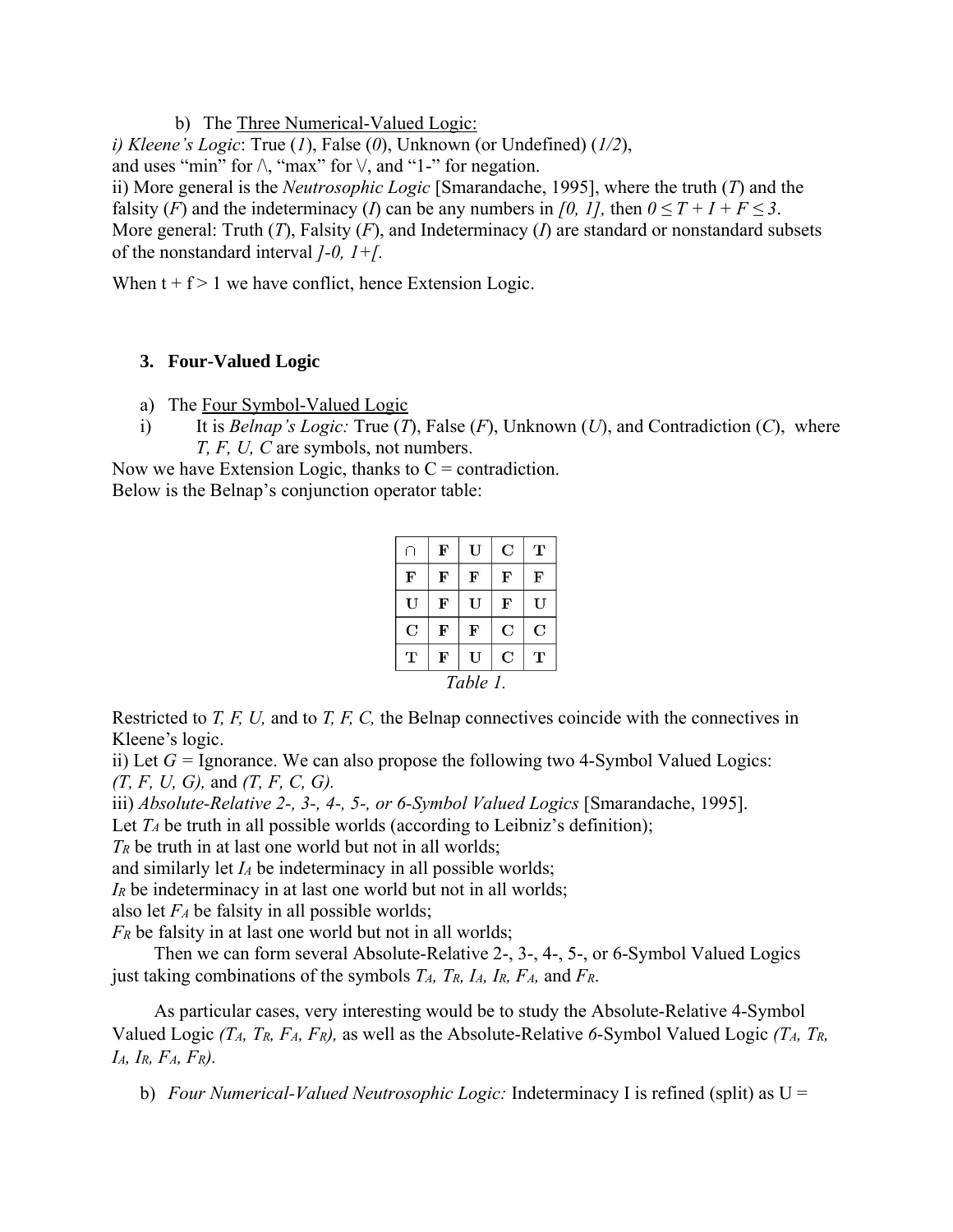b) The Three Numerical-Valued Logic:

*i) Kleene's Logic*: True (*1*), False (*0*), Unknown (or Undefined) (*1/2*),

and uses "min" for  $\wedge$ , "max" for  $\vee$ , and "1-" for negation.

ii) More general is the *Neutrosophic Logic* [Smarandache, 1995], where the truth (*T*) and the falsity (*F*) and the indeterminacy (*I*) can be any numbers in [0, 1], then  $0 \le T + I + F \le 3$ . More general: Truth (*T*), Falsity (*F*), and Indeterminacy (*I*) are standard or nonstandard subsets of the nonstandard interval *]-0, 1+[.* 

When  $t + f > 1$  we have conflict, hence Extension Logic.

## **3. Four-Valued Logic**

- a) The Four Symbol-Valued Logic
- i) It is *Belnap's Logic:* True (*T*), False (*F*), Unknown (*U*), and Contradiction (*C*), where *T, F, U, C* are symbols, not numbers.

Now we have Extension Logic, thanks to  $C =$  contradiction. Below is the Belnap's conjunction operator table:

|             | $\mathbf F$ | U         | C | т |
|-------------|-------------|-----------|---|---|
| F           | $\mathbf F$ | ${\bf F}$ | F | F |
| U           | F           | U         | F | U |
| $\mathbf C$ | F           | F         | C | C |
| т           | F           | U         | C | т |
| Table 1.    |             |           |   |   |

Restricted to *T, F, U,* and to *T, F, C,* the Belnap connectives coincide with the connectives in Kleene's logic.

ii) Let  $G =$  Ignorance. We can also propose the following two 4-Symbol Valued Logics:

*(T, F, U, G),* and *(T, F, C, G).*

iii) *Absolute-Relative 2-, 3-, 4-, 5-, or 6-Symbol Valued Logics* [Smarandache, 1995].

Let  $T_A$  be truth in all possible worlds (according to Leibniz's definition);

*TR* be truth in at last one world but not in all worlds;

and similarly let *IA* be indeterminacy in all possible worlds;

*IR* be indeterminacy in at last one world but not in all worlds;

also let *FA* be falsity in all possible worlds;

*FR* be falsity in at last one world but not in all worlds;

Then we can form several Absolute-Relative 2-, 3-, 4-, 5-, or 6-Symbol Valued Logics just taking combinations of the symbols *TA, TR, IA, IR, FA,* and *FR*.

As particular cases, very interesting would be to study the Absolute-Relative 4-Symbol Valued Logic *(TA, TR, FA, FR),* as well as the Absolute-Relative *6*-Symbol Valued Logic *(TA, TR, IA, IR, FA, FR).* 

b) *Four Numerical-Valued Neutrosophic Logic:* Indeterminacy I is refined (split) as U =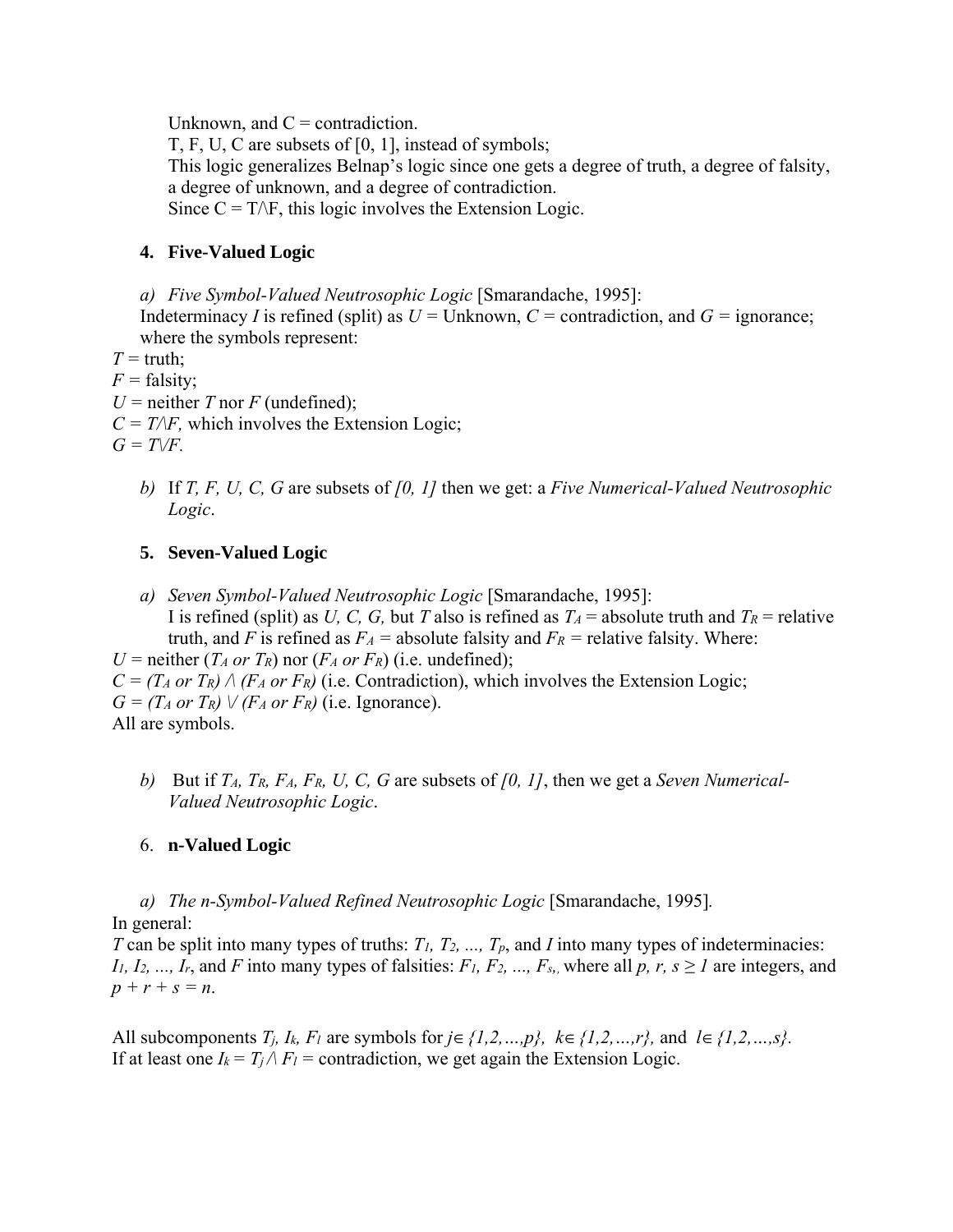Unknown, and  $C =$  contradiction.

T, F, U, C are subsets of [0, 1], instead of symbols; This logic generalizes Belnap's logic since one gets a degree of truth, a degree of falsity, a degree of unknown, and a degree of contradiction. Since  $C = T\Delta F$ , this logic involves the Extension Logic.

## **4. Five-Valued Logic**

*a) Five Symbol-Valued Neutrosophic Logic* [Smarandache, 1995]:

Indeterminacy *I* is refined (split) as  $U =$  Unknown,  $C =$  contradiction, and  $G =$  ignorance; where the symbols represent:

 $T = \text{truth}$ ;

 $F =$  falsity;

 $U =$  neither *T* nor *F* (undefined);

 $C = T/F$ , which involves the Extension Logic;

 $G = T\sqrt{F}$ .

*b)* If *T, F, U, C, G* are subsets of *[0, 1]* then we get: a *Five Numerical-Valued Neutrosophic Logic*.

# **5. Seven-Valued Logic**

*a) Seven Symbol-Valued Neutrosophic Logic* [Smarandache, 1995]: I is refined (split) as *U, C, G,* but *T* also is refined as  $T_A$  = absolute truth and  $T_R$  = relative truth, and *F* is refined as  $F_A$  = absolute falsity and  $F_R$  = relative falsity. Where:

*U* = neither  $(T_A \text{ or } T_R)$  nor  $(F_A \text{ or } F_R)$  (i.e. undefined);  $C = (T_A \text{ or } T_R) \wedge (F_A \text{ or } F_R)$  (i.e. Contradiction), which involves the Extension Logic;  $G = (T_A \text{ or } T_R) \vee (F_A \text{ or } F_R)$  (i.e. Ignorance). All are symbols.

*b)* But if *TA, TR, FA, FR, U, C, G* are subsets of *[0, 1]*, then we get a *Seven Numerical-Valued Neutrosophic Logic*.

## 6. **n-Valued Logic**

*a) The n-Symbol-Valued Refined Neutrosophic Logic* [Smarandache, 1995]*.*  In general:

*T* can be split into many types of truths: *T<sub>1</sub>*, *T<sub>2</sub>*, ..., *T<sub>p</sub>*, and *I* into many types of indeterminacies: *I1, I2, ..., Ir,* and *F* into many types of falsities: *F1, F2, ..., F<sub>s</sub>,*, where all *p, r, s*  $\geq$  *I* are integers, and  $p + r + s = n$ .

All subcomponents  $T_i$ ,  $I_k$ ,  $F_l$  are symbols for  $j \in \{1,2,...,p\}$ ,  $k \in \{1,2,...,r\}$ , and  $l \in \{1,2,...,s\}$ . If at least one  $I_k = T_i / F_l$  = contradiction, we get again the Extension Logic.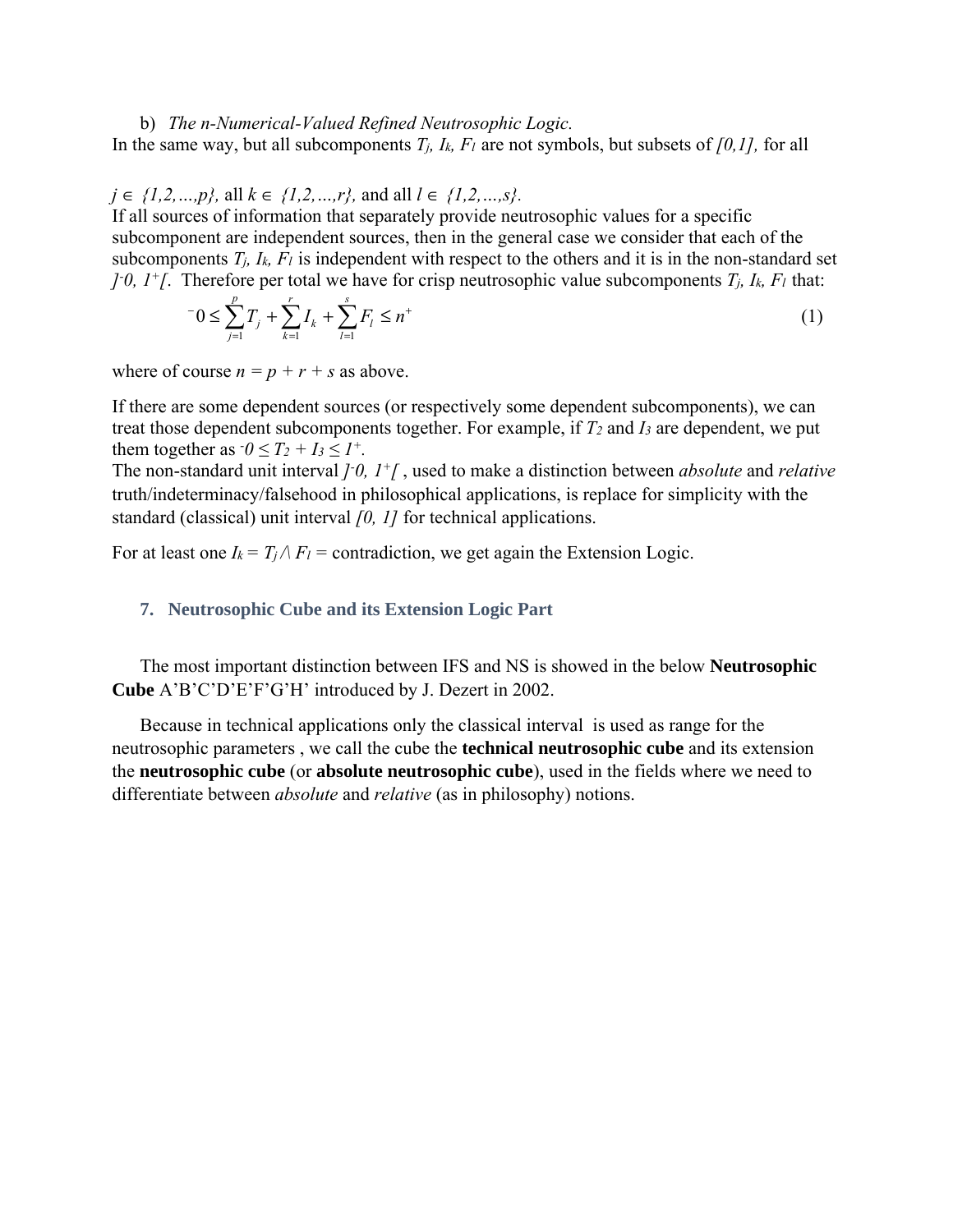#### b) *The n-Numerical-Valued Refined Neutrosophic Logic.*

In the same way, but all subcomponents  $T_i$ ,  $I_k$ ,  $F_l$  are not symbols, but subsets of  $[0,1]$ , for all

#### *j* ∈ *{1,2,…,p},* all *k* ∈ *{1,2,…,r},* and all *l* ∈ *{1,2,…,s}.*

If all sources of information that separately provide neutrosophic values for a specific subcomponent are independent sources, then in the general case we consider that each of the subcomponents  $T_i$ ,  $I_k$ ,  $F_l$  is independent with respect to the others and it is in the non-standard set *]*-0,  $1^{\text{+}}$ [. Therefore per total we have for crisp neutrosophic value subcomponents  $T_j$ ,  $I_k$ ,  $F_l$  that:

$$
-0 \le \sum_{j=1}^{p} T_j + \sum_{k=1}^{r} I_k + \sum_{l=1}^{s} F_l \le n^+ \tag{1}
$$

where of course  $n = p + r + s$  as above.

If there are some dependent sources (or respectively some dependent subcomponents), we can treat those dependent subcomponents together. For example, if *T2* and *I3* are dependent, we put them together as  $\tau_0 \leq T_2 + I_3 \leq I^+$ .

The non-standard unit interval *]- 0, 1+[* , used to make a distinction between *absolute* and *relative* truth/indeterminacy/falsehood in philosophical applications, is replace for simplicity with the standard (classical) unit interval *[0, 1]* for technical applications.

For at least one  $I_k = T_i / F_l$  = contradiction, we get again the Extension Logic.

#### **7. Neutrosophic Cube and its Extension Logic Part**

The most important distinction between IFS and NS is showed in the below **Neutrosophic Cube** A'B'C'D'E'F'G'H' introduced by J. Dezert in 2002.

Because in technical applications only the classical interval is used as range for the neutrosophic parameters , we call the cube the **technical neutrosophic cube** and its extension the **neutrosophic cube** (or **absolute neutrosophic cube**), used in the fields where we need to differentiate between *absolute* and *relative* (as in philosophy) notions.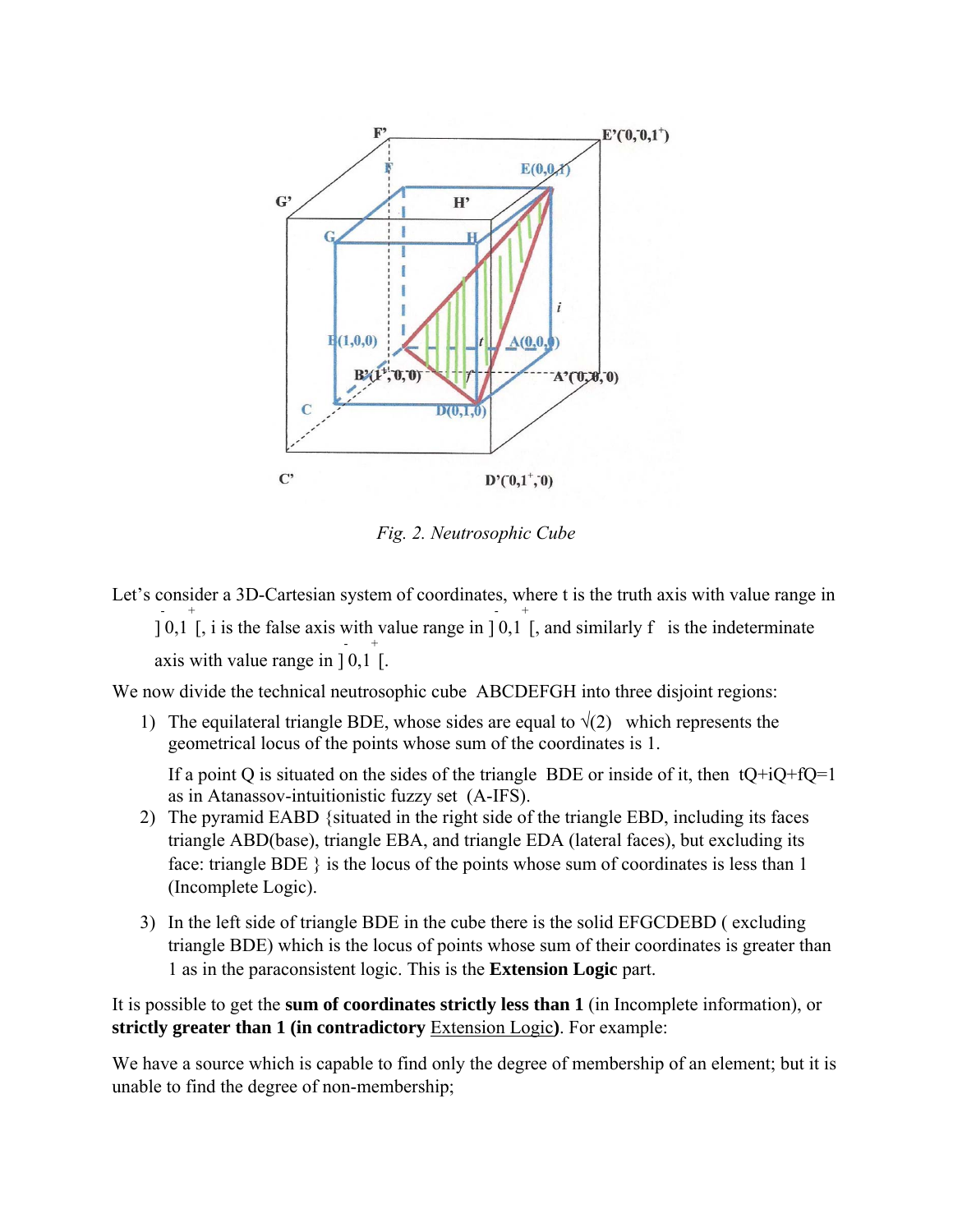

*Fig. 2. Neutrosophic Cube* 

Let's consider a 3D-Cartesian system of coordinates, where t is the truth axis with value range in ] - 0,1 + [, i is the false axis with value range in ] - 0,1 + [, and similarly f is the indeterminate axis with value range in ] - 0,1 + [.

We now divide the technical neutrosophic cube ABCDEFGH into three disjoint regions:

1) The equilateral triangle BDE, whose sides are equal to  $\sqrt{(2)}$  which represents the geometrical locus of the points whose sum of the coordinates is 1.

If a point Q is situated on the sides of the triangle BDE or inside of it, then  $tQ+iQ+fQ=1$ as in Atanassov-intuitionistic fuzzy set (A-IFS).

- 2) The pyramid EABD {situated in the right side of the triangle EBD, including its faces triangle ABD(base), triangle EBA, and triangle EDA (lateral faces), but excluding its face: triangle BDE } is the locus of the points whose sum of coordinates is less than 1 (Incomplete Logic).
- 3) In the left side of triangle BDE in the cube there is the solid EFGCDEBD ( excluding triangle BDE) which is the locus of points whose sum of their coordinates is greater than 1 as in the paraconsistent logic. This is the **Extension Logic** part.

It is possible to get the **sum of coordinates strictly less than 1** (in Incomplete information), or **strictly greater than 1 (in contradictory** Extension Logic**)**. For example:

We have a source which is capable to find only the degree of membership of an element; but it is unable to find the degree of non-membership;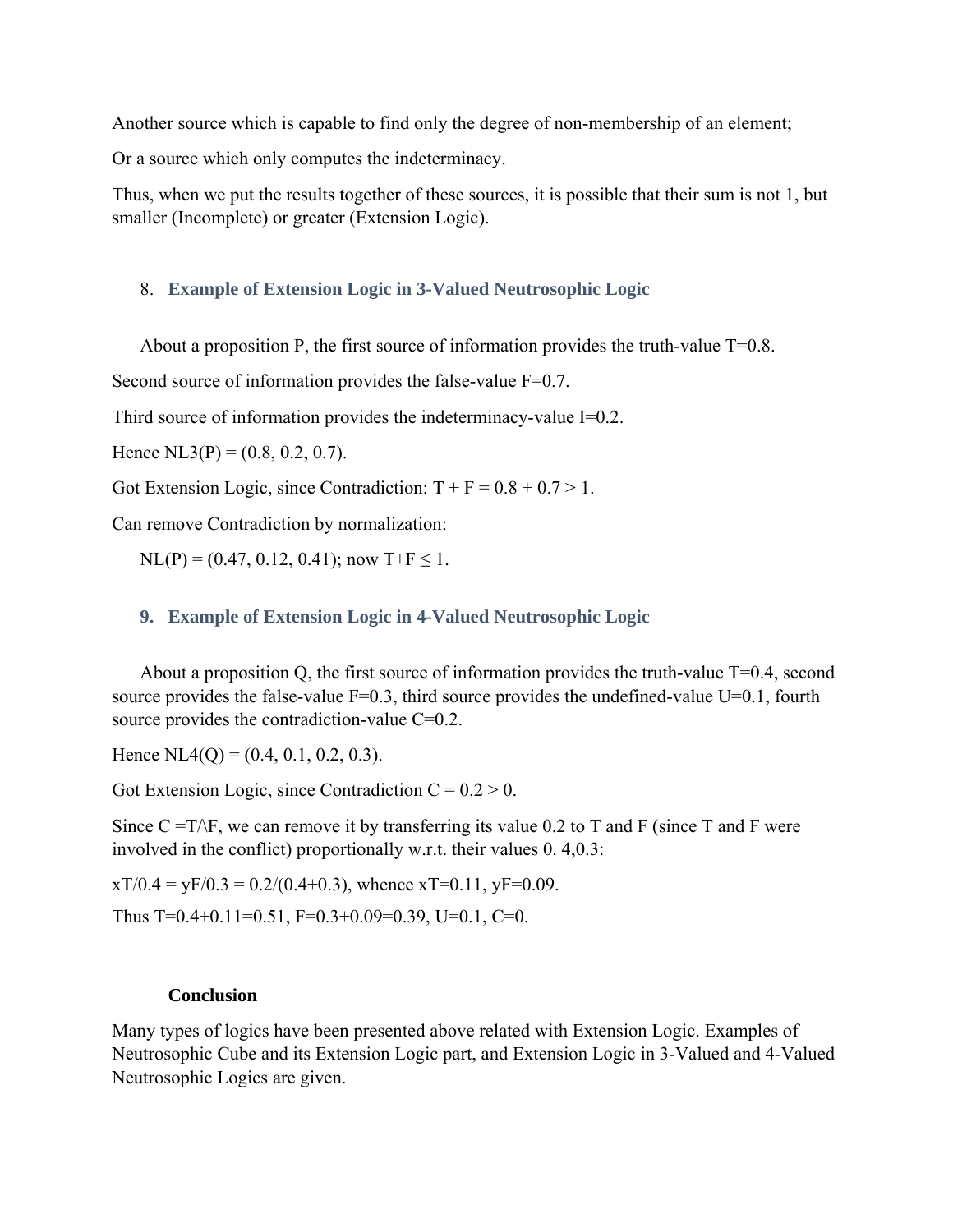Another source which is capable to find only the degree of non-membership of an element;

Or a source which only computes the indeterminacy.

Thus, when we put the results together of these sources, it is possible that their sum is not 1, but smaller (Incomplete) or greater (Extension Logic).

#### 8. **Example of Extension Logic in 3-Valued Neutrosophic Logic**

About a proposition P, the first source of information provides the truth-value  $T=0.8$ .

Second source of information provides the false-value  $F=0.7$ .

Third source of information provides the indeterminacy-value I=0.2.

Hence  $NL3(P) = (0.8, 0.2, 0.7)$ .

Got Extension Logic, since Contradiction:  $T + F = 0.8 + 0.7 > 1$ .

Can remove Contradiction by normalization:

 $NL(P) = (0.47, 0.12, 0.41)$ ; now T+F  $\leq 1$ .

## **9. Example of Extension Logic in 4-Valued Neutrosophic Logic**

About a proposition Q, the first source of information provides the truth-value  $T=0.4$ , second source provides the false-value  $F=0.3$ , third source provides the undefined-value  $U=0.1$ , fourth source provides the contradiction-value C=0.2.

Hence  $NL4(O) = (0.4, 0.1, 0.2, 0.3)$ .

Got Extension Logic, since Contradiction  $C = 0.2 > 0$ .

Since  $C = T/F$ , we can remove it by transferring its value 0.2 to T and F (since T and F were involved in the conflict) proportionally w.r.t. their values 0. 4,0.3:

 $xT/0.4 = yF/0.3 = 0.2/(0.4+0.3)$ , whence  $xT=0.11$ ,  $yF=0.09$ .

Thus  $T=0.4+0.11=0.51$ ,  $F=0.3+0.09=0.39$ ,  $U=0.1$ ,  $C=0$ .

#### **Conclusion**

Many types of logics have been presented above related with Extension Logic. Examples of Neutrosophic Cube and its Extension Logic part, and Extension Logic in 3-Valued and 4-Valued Neutrosophic Logics are given.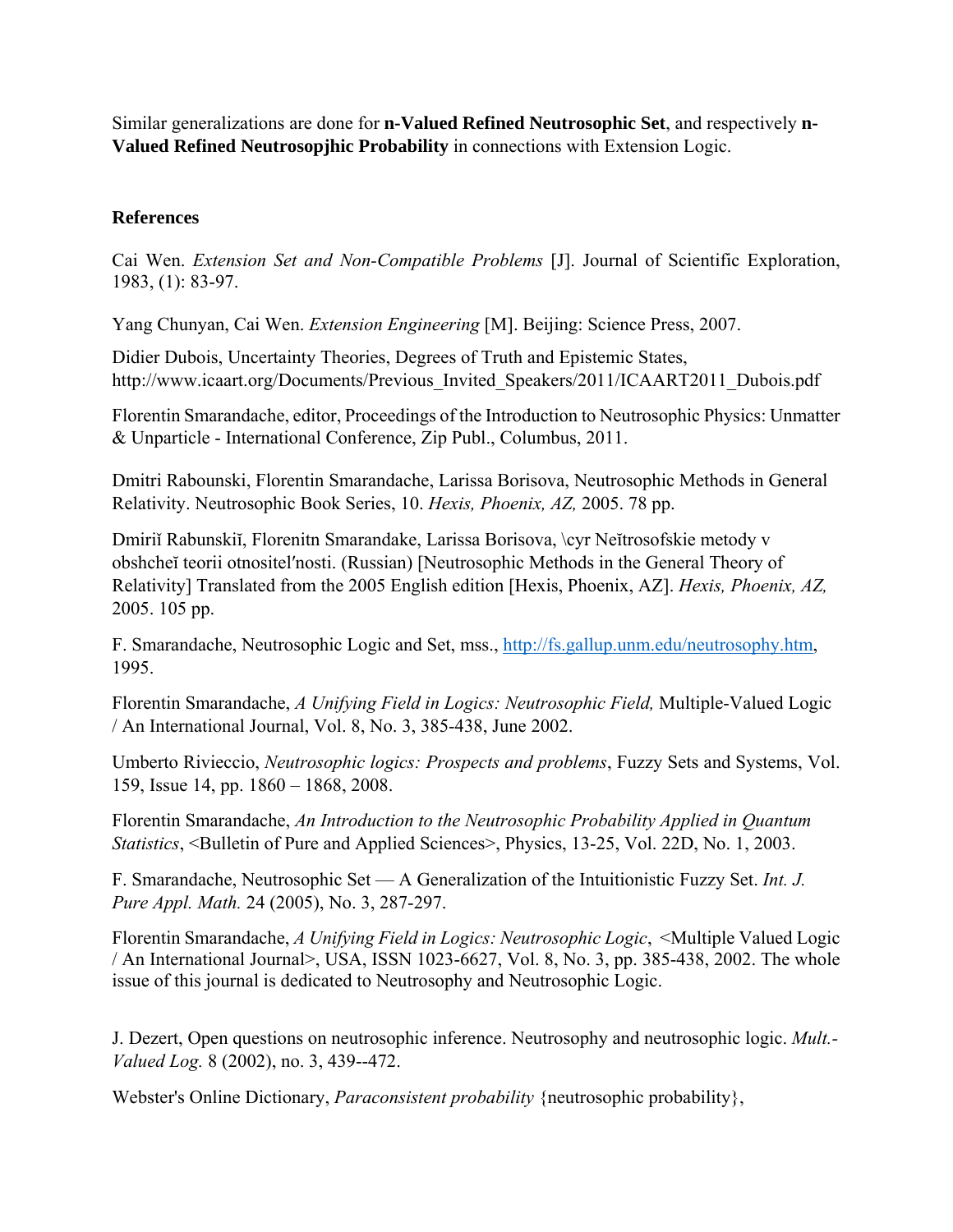Similar generalizations are done for **n-Valued Refined Neutrosophic Set**, and respectively **n-Valued Refined Neutrosopjhic Probability** in connections with Extension Logic.

#### **References**

Cai Wen. *Extension Set and Non-Compatible Problems* [J]. Journal of Scientific Exploration, 1983, (1): 83-97.

Yang Chunyan, Cai Wen. *Extension Engineering* [M]. Beijing: Science Press, 2007.

Didier Dubois, Uncertainty Theories, Degrees of Truth and Epistemic States, http://www.icaart.org/Documents/Previous Invited Speakers/2011/ICAART2011 Dubois.pdf

Florentin Smarandache, editor, Proceedings of the Introduction to Neutrosophic Physics: Unmatter & Unparticle - International Conference, Zip Publ., Columbus, 2011.

Dmitri Rabounski, Florentin Smarandache, Larissa Borisova, Neutrosophic Methods in General Relativity. Neutrosophic Book Series, 10. *Hexis, Phoenix, AZ,* 2005. 78 pp.

Dmiriǐ Rabunskiĭ, Florenitn Smarandake, Larissa Borisova, \cyr Neĭtrosofskie metody v obshcheĭ teorii otnositelʹnosti. (Russian) [Neutrosophic Methods in the General Theory of Relativity] Translated from the 2005 English edition [Hexis, Phoenix, AZ]. *Hexis, Phoenix, AZ,* 2005. 105 pp.

F. Smarandache, Neutrosophic Logic and Set, mss., http://fs.gallup.unm.edu/neutrosophy.htm, 1995.

Florentin Smarandache, *A Unifying Field in Logics: Neutrosophic Field,* Multiple-Valued Logic / An International Journal, Vol. 8, No. 3, 385-438, June 2002.

Umberto Rivieccio, *Neutrosophic logics: Prospects and problems*, Fuzzy Sets and Systems, Vol. 159, Issue 14, pp. 1860 – 1868, 2008.

Florentin Smarandache, *An Introduction to the Neutrosophic Probability Applied in Quantum Statistics*, <Bulletin of Pure and Applied Sciences>, Physics, 13-25, Vol. 22D, No. 1, 2003.

F. Smarandache, Neutrosophic Set — A Generalization of the Intuitionistic Fuzzy Set. *Int. J. Pure Appl. Math.* 24 (2005), No. 3, 287-297.

Florentin Smarandache, *A Unifying Field in Logics: Neutrosophic Logic*, <Multiple Valued Logic / An International Journal>, USA, ISSN 1023-6627, Vol. 8, No. 3, pp. 385-438, 2002. The whole issue of this journal is dedicated to Neutrosophy and Neutrosophic Logic.

J. Dezert, Open questions on neutrosophic inference. Neutrosophy and neutrosophic logic. *Mult.- Valued Log.* 8 (2002), no. 3, 439--472.

Webster's Online Dictionary, *Paraconsistent probability* {neutrosophic probability},